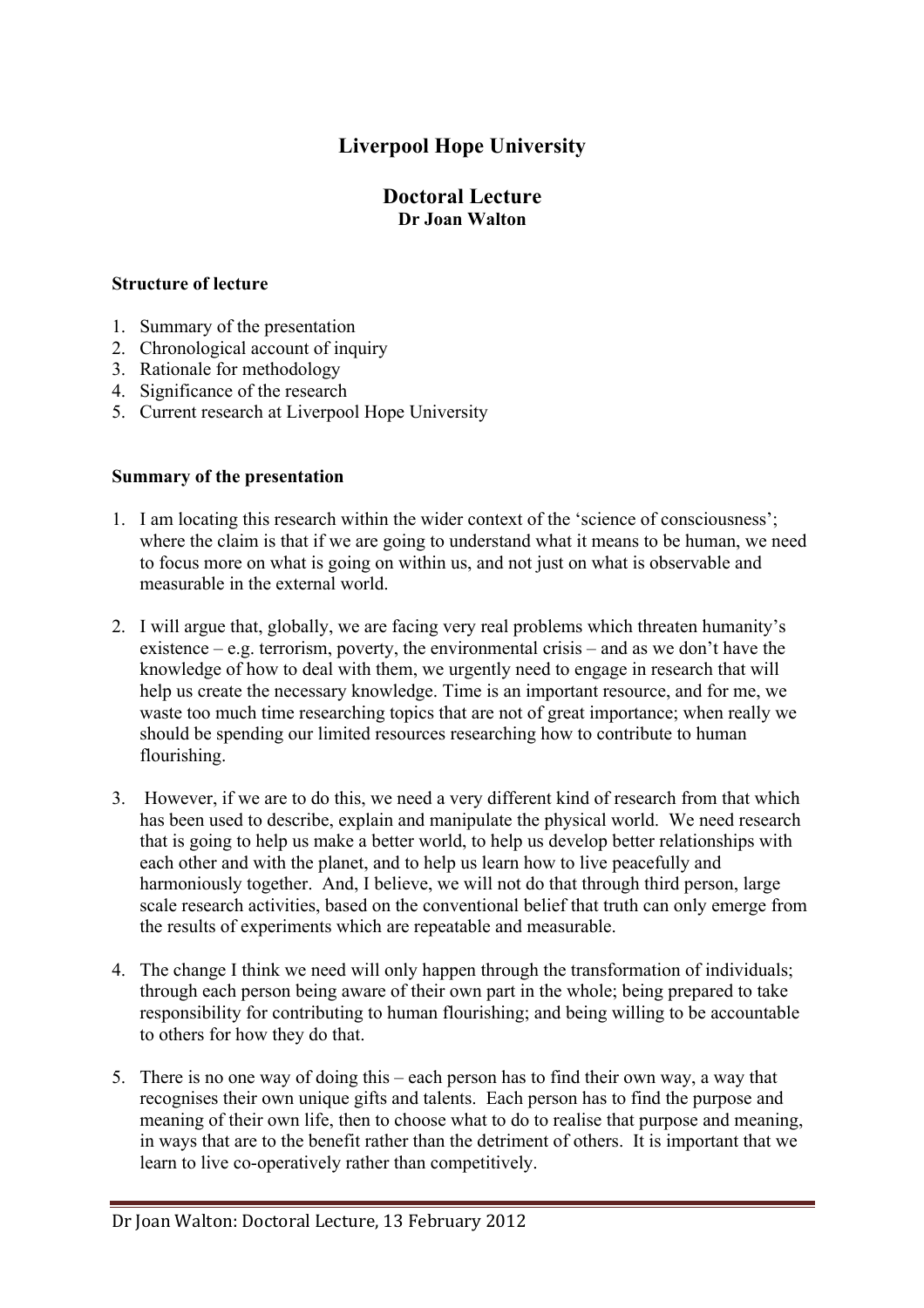# **Liverpool Hope University**

# **Doctoral Lecture Dr Joan Walton**

### **Structure of lecture**

- 1. Summary of the presentation
- 2. Chronological account of inquiry
- 3. Rationale for methodology
- 4. Significance of the research
- 5. Current research at Liverpool Hope University

# **Summary of the presentation**

- 1. I am locating this research within the wider context of the 'science of consciousness'; where the claim is that if we are going to understand what it means to be human, we need to focus more on what is going on within us, and not just on what is observable and measurable in the external world.
- 2. I will argue that, globally, we are facing very real problems which threaten humanity's existence – e.g. terrorism, poverty, the environmental crisis – and as we don't have the knowledge of how to deal with them, we urgently need to engage in research that will help us create the necessary knowledge. Time is an important resource, and for me, we waste too much time researching topics that are not of great importance; when really we should be spending our limited resources researching how to contribute to human flourishing.
- 3. However, if we are to do this, we need a very different kind of research from that which has been used to describe, explain and manipulate the physical world. We need research that is going to help us make a better world, to help us develop better relationships with each other and with the planet, and to help us learn how to live peacefully and harmoniously together. And, I believe, we will not do that through third person, large scale research activities, based on the conventional belief that truth can only emerge from the results of experiments which are repeatable and measurable.
- 4. The change I think we need will only happen through the transformation of individuals; through each person being aware of their own part in the whole; being prepared to take responsibility for contributing to human flourishing; and being willing to be accountable to others for how they do that.
- 5. There is no one way of doing this each person has to find their own way, a way that recognises their own unique gifts and talents. Each person has to find the purpose and meaning of their own life, then to choose what to do to realise that purpose and meaning, in ways that are to the benefit rather than the detriment of others. It is important that we learn to live co-operatively rather than competitively.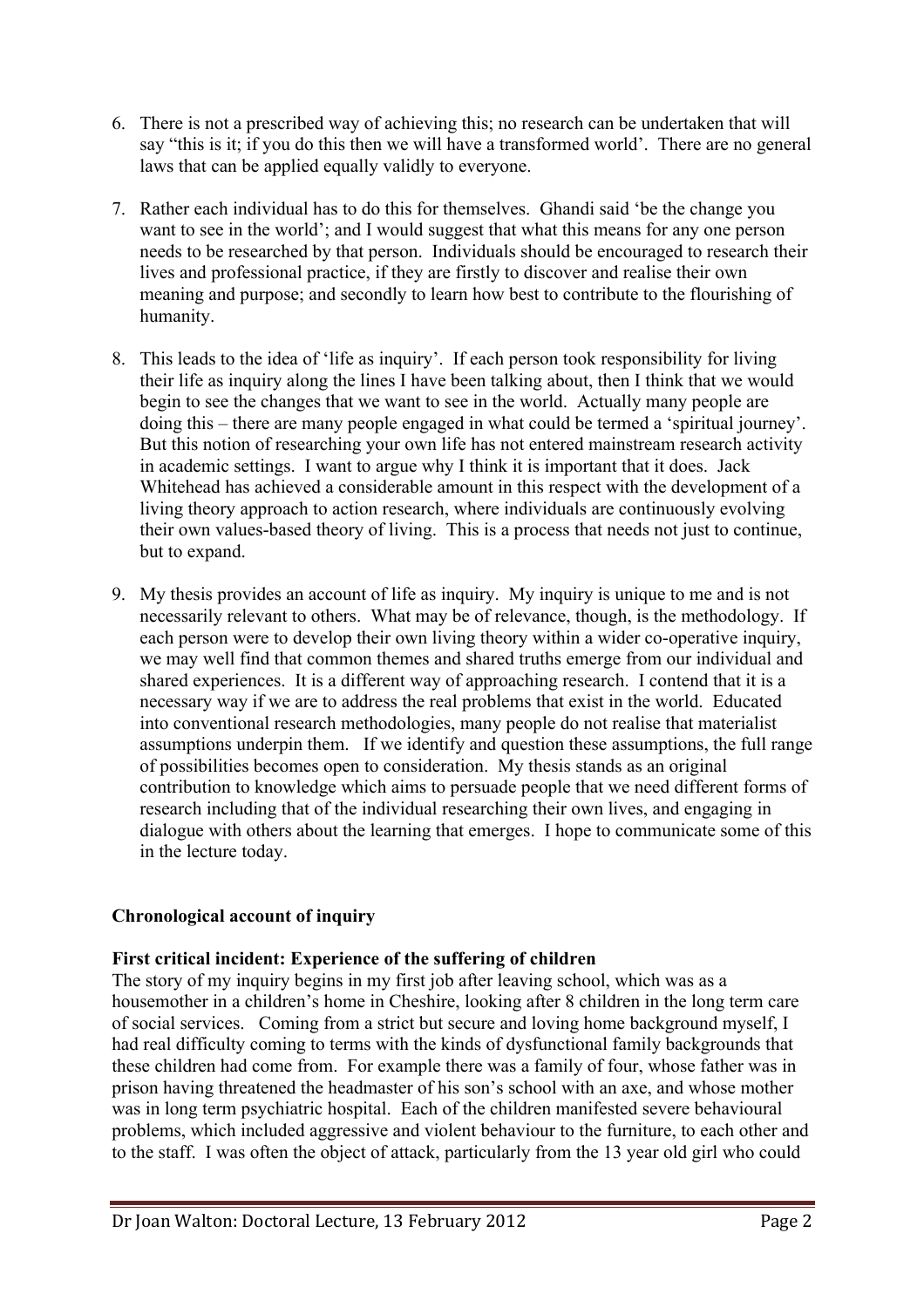- 6. There is not a prescribed way of achieving this; no research can be undertaken that will say "this is it; if you do this then we will have a transformed world'. There are no general laws that can be applied equally validly to everyone.
- 7. Rather each individual has to do this for themselves. Ghandi said 'be the change you want to see in the world'; and I would suggest that what this means for any one person needs to be researched by that person. Individuals should be encouraged to research their lives and professional practice, if they are firstly to discover and realise their own meaning and purpose; and secondly to learn how best to contribute to the flourishing of humanity.
- 8. This leads to the idea of 'life as inquiry'. If each person took responsibility for living their life as inquiry along the lines I have been talking about, then I think that we would begin to see the changes that we want to see in the world. Actually many people are doing this – there are many people engaged in what could be termed a 'spiritual journey'. But this notion of researching your own life has not entered mainstream research activity in academic settings. I want to argue why I think it is important that it does. Jack Whitehead has achieved a considerable amount in this respect with the development of a living theory approach to action research, where individuals are continuously evolving their own values-based theory of living. This is a process that needs not just to continue, but to expand.
- 9. My thesis provides an account of life as inquiry. My inquiry is unique to me and is not necessarily relevant to others. What may be of relevance, though, is the methodology. If each person were to develop their own living theory within a wider co-operative inquiry, we may well find that common themes and shared truths emerge from our individual and shared experiences. It is a different way of approaching research. I contend that it is a necessary way if we are to address the real problems that exist in the world. Educated into conventional research methodologies, many people do not realise that materialist assumptions underpin them. If we identify and question these assumptions, the full range of possibilities becomes open to consideration. My thesis stands as an original contribution to knowledge which aims to persuade people that we need different forms of research including that of the individual researching their own lives, and engaging in dialogue with others about the learning that emerges. I hope to communicate some of this in the lecture today.

# **Chronological account of inquiry**

# **First critical incident: Experience of the suffering of children**

The story of my inquiry begins in my first job after leaving school, which was as a housemother in a children's home in Cheshire, looking after 8 children in the long term care of social services. Coming from a strict but secure and loving home background myself, I had real difficulty coming to terms with the kinds of dysfunctional family backgrounds that these children had come from. For example there was a family of four, whose father was in prison having threatened the headmaster of his son's school with an axe, and whose mother was in long term psychiatric hospital. Each of the children manifested severe behavioural problems, which included aggressive and violent behaviour to the furniture, to each other and to the staff. I was often the object of attack, particularly from the 13 year old girl who could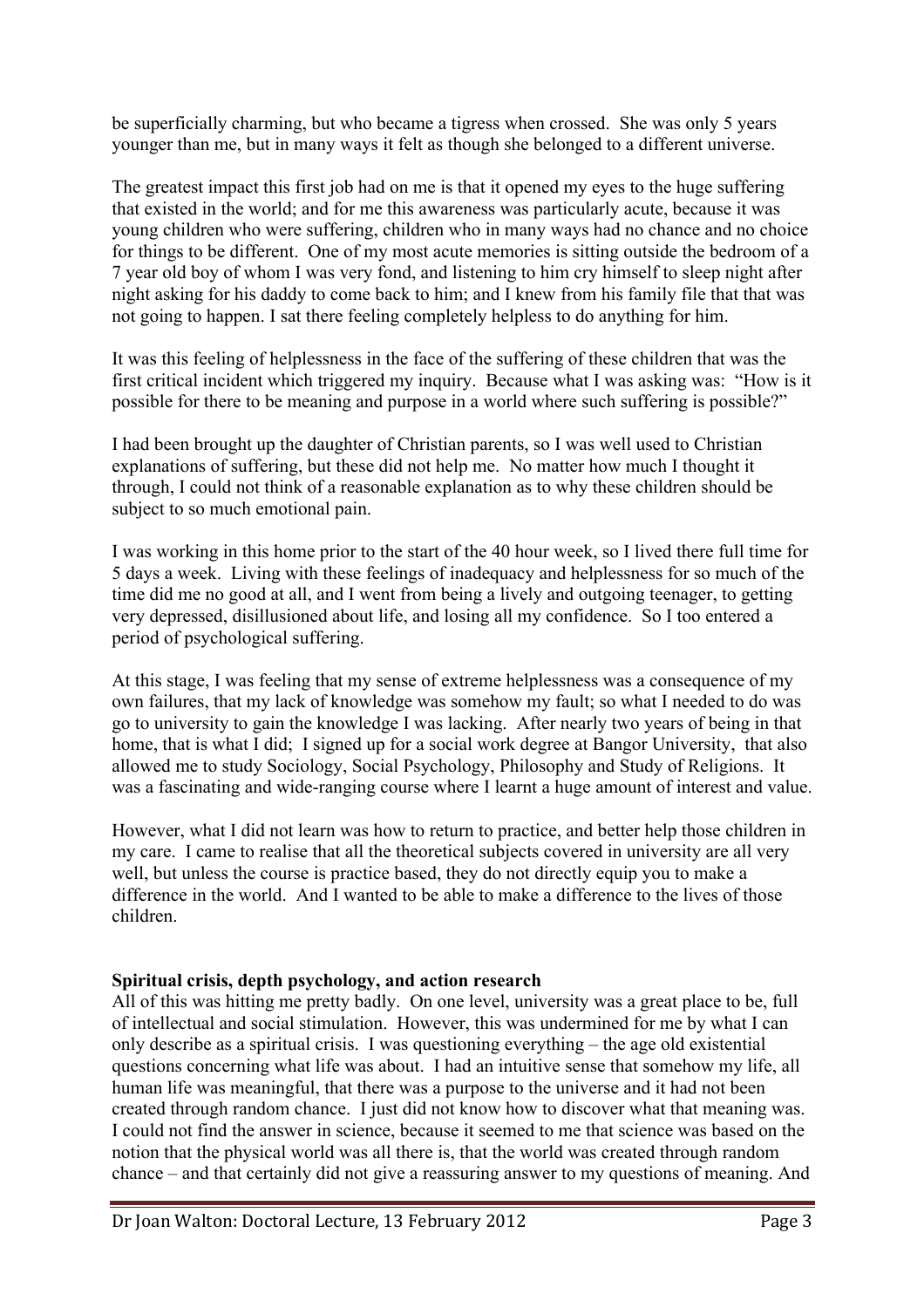be superficially charming, but who became a tigress when crossed. She was only 5 years younger than me, but in many ways it felt as though she belonged to a different universe.

The greatest impact this first job had on me is that it opened my eyes to the huge suffering that existed in the world; and for me this awareness was particularly acute, because it was young children who were suffering, children who in many ways had no chance and no choice for things to be different. One of my most acute memories is sitting outside the bedroom of a 7 year old boy of whom I was very fond, and listening to him cry himself to sleep night after night asking for his daddy to come back to him; and I knew from his family file that that was not going to happen. I sat there feeling completely helpless to do anything for him.

It was this feeling of helplessness in the face of the suffering of these children that was the first critical incident which triggered my inquiry. Because what I was asking was: "How is it possible for there to be meaning and purpose in a world where such suffering is possible?"

I had been brought up the daughter of Christian parents, so I was well used to Christian explanations of suffering, but these did not help me. No matter how much I thought it through, I could not think of a reasonable explanation as to why these children should be subject to so much emotional pain.

I was working in this home prior to the start of the 40 hour week, so I lived there full time for 5 days a week. Living with these feelings of inadequacy and helplessness for so much of the time did me no good at all, and I went from being a lively and outgoing teenager, to getting very depressed, disillusioned about life, and losing all my confidence. So I too entered a period of psychological suffering.

At this stage, I was feeling that my sense of extreme helplessness was a consequence of my own failures, that my lack of knowledge was somehow my fault; so what I needed to do was go to university to gain the knowledge I was lacking. After nearly two years of being in that home, that is what I did; I signed up for a social work degree at Bangor University, that also allowed me to study Sociology, Social Psychology, Philosophy and Study of Religions. It was a fascinating and wide-ranging course where I learnt a huge amount of interest and value.

However, what I did not learn was how to return to practice, and better help those children in my care. I came to realise that all the theoretical subjects covered in university are all very well, but unless the course is practice based, they do not directly equip you to make a difference in the world And I wanted to be able to make a difference to the lives of those children.

# **Spiritual crisis, depth psychology, and action research**

All of this was hitting me pretty badly. On one level, university was a great place to be, full of intellectual and social stimulation. However, this was undermined for me by what I can only describe as a spiritual crisis. I was questioning everything – the age old existential questions concerning what life was about. I had an intuitive sense that somehow my life, all human life was meaningful, that there was a purpose to the universe and it had not been created through random chance. I just did not know how to discover what that meaning was. I could not find the answer in science, because it seemed to me that science was based on the notion that the physical world was all there is, that the world was created through random chance – and that certainly did not give a reassuring answer to my questions of meaning. And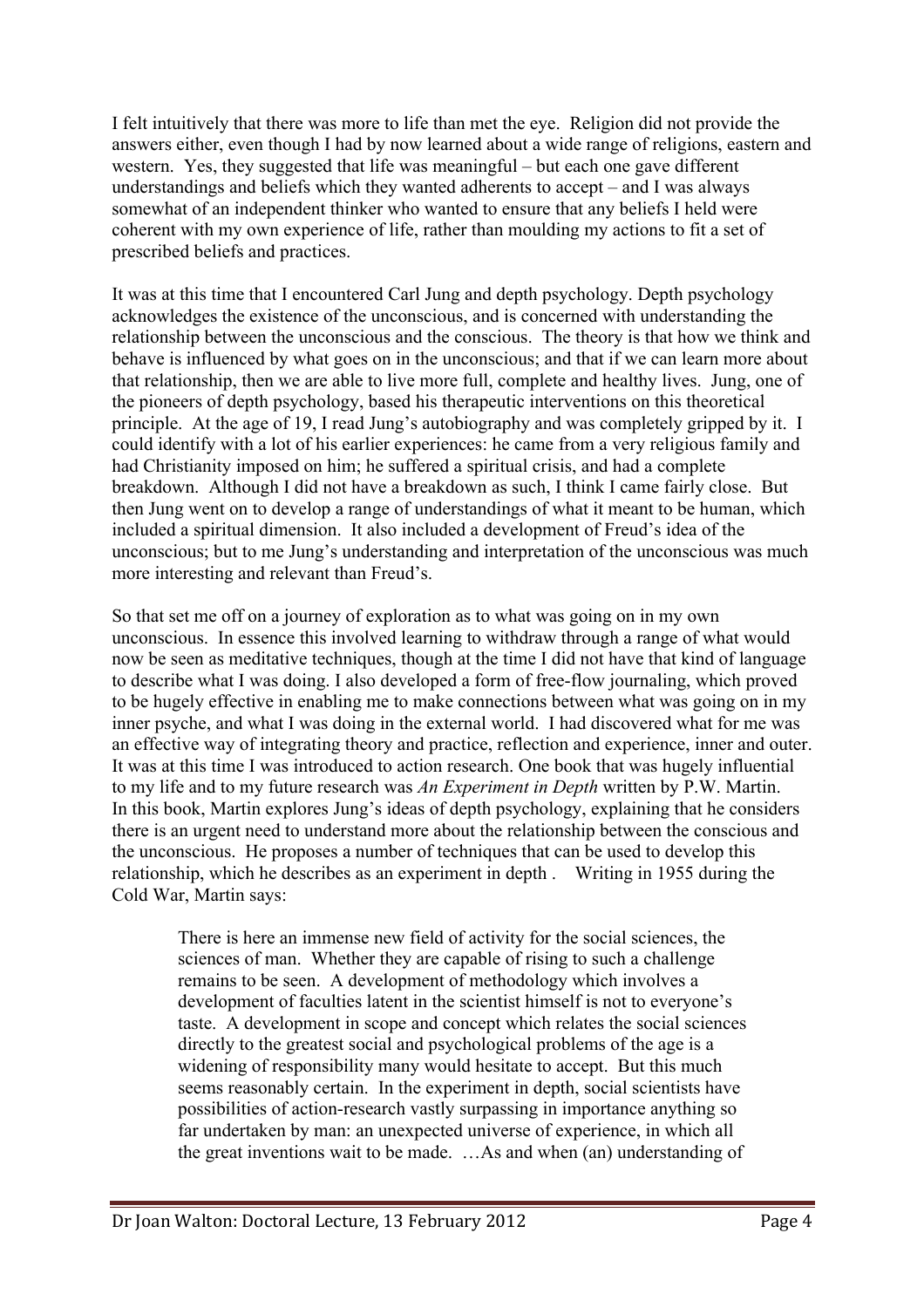I felt intuitively that there was more to life than met the eye. Religion did not provide the answers either, even though I had by now learned about a wide range of religions, eastern and western. Yes, they suggested that life was meaningful – but each one gave different understandings and beliefs which they wanted adherents to accept – and I was always somewhat of an independent thinker who wanted to ensure that any beliefs I held were coherent with my own experience of life, rather than moulding my actions to fit a set of prescribed beliefs and practices.

It was at this time that I encountered Carl Jung and depth psychology. Depth psychology acknowledges the existence of the unconscious, and is concerned with understanding the relationship between the unconscious and the conscious. The theory is that how we think and behave is influenced by what goes on in the unconscious; and that if we can learn more about that relationship, then we are able to live more full, complete and healthy lives. Jung, one of the pioneers of depth psychology, based his therapeutic interventions on this theoretical principle. At the age of 19, I read Jung's autobiography and was completely gripped by it. I could identify with a lot of his earlier experiences: he came from a very religious family and had Christianity imposed on him; he suffered a spiritual crisis, and had a complete breakdown. Although I did not have a breakdown as such, I think I came fairly close. But then Jung went on to develop a range of understandings of what it meant to be human, which included a spiritual dimension. It also included a development of Freud's idea of the unconscious; but to me Jung's understanding and interpretation of the unconscious was much more interesting and relevant than Freud's.

So that set me off on a journey of exploration as to what was going on in my own unconscious. In essence this involved learning to withdraw through a range of what would now be seen as meditative techniques, though at the time I did not have that kind of language to describe what I was doing. I also developed a form of free-flow journaling, which proved to be hugely effective in enabling me to make connections between what was going on in my inner psyche, and what I was doing in the external world. I had discovered what for me was an effective way of integrating theory and practice, reflection and experience, inner and outer. It was at this time I was introduced to action research. One book that was hugely influential to my life and to my future research was *An Experiment in Depth* written by P.W. Martin. In this book, Martin explores Jung's ideas of depth psychology, explaining that he considers there is an urgent need to understand more about the relationship between the conscious and the unconscious. He proposes a number of techniques that can be used to develop this relationship, which he describes as an experiment in depth . Writing in 1955 during the Cold War, Martin says:

There is here an immense new field of activity for the social sciences, the sciences of man. Whether they are capable of rising to such a challenge remains to be seen. A development of methodology which involves a development of faculties latent in the scientist himself is not to everyone's taste. A development in scope and concept which relates the social sciences directly to the greatest social and psychological problems of the age is a widening of responsibility many would hesitate to accept. But this much seems reasonably certain. In the experiment in depth, social scientists have possibilities of action-research vastly surpassing in importance anything so far undertaken by man: an unexpected universe of experience, in which all the great inventions wait to be made. …As and when (an) understanding of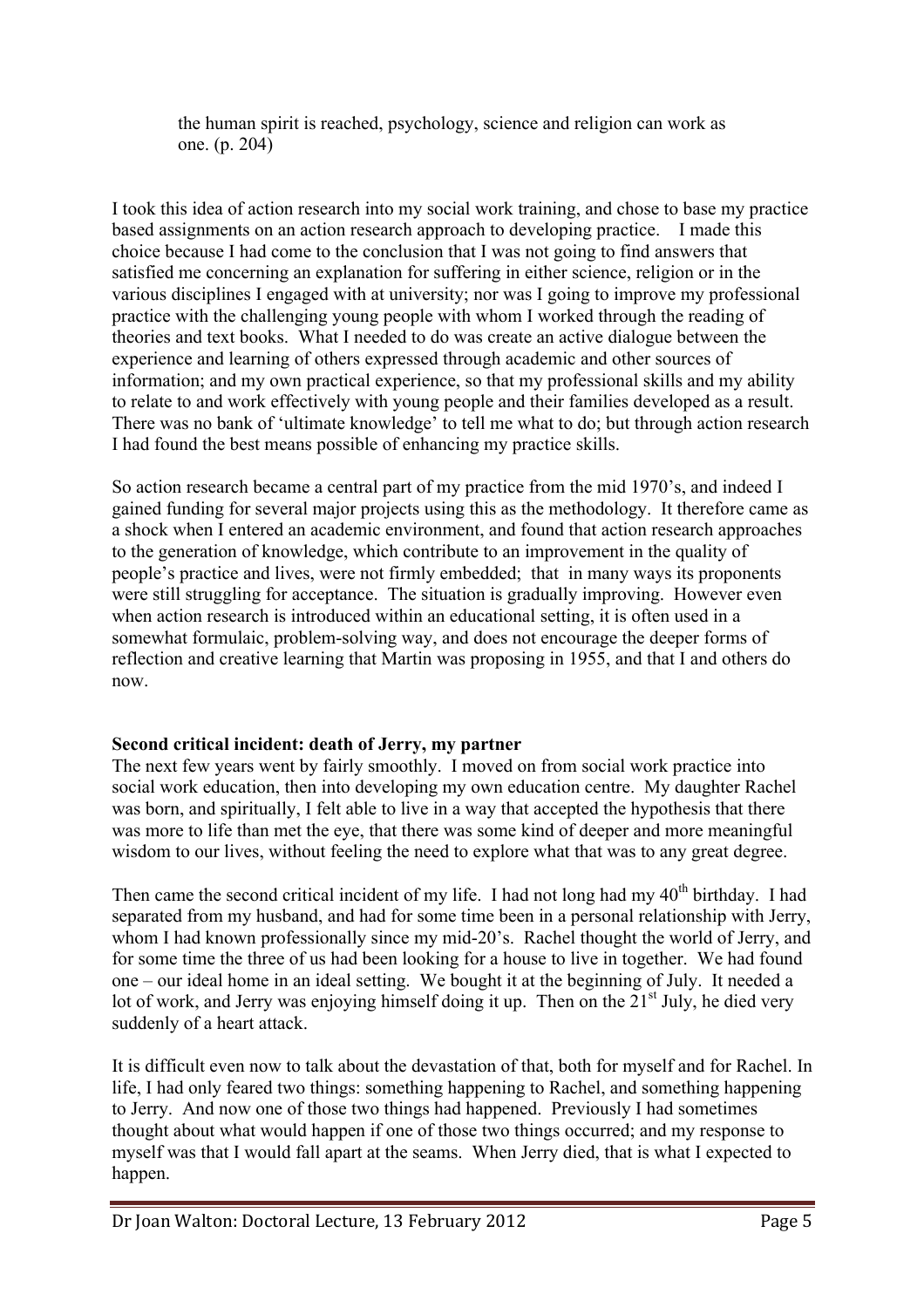the human spirit is reached, psychology, science and religion can work as one. (p. 204)

I took this idea of action research into my social work training, and chose to base my practice based assignments on an action research approach to developing practice. I made this choice because I had come to the conclusion that I was not going to find answers that satisfied me concerning an explanation for suffering in either science, religion or in the various disciplines I engaged with at university; nor was I going to improve my professional practice with the challenging young people with whom I worked through the reading of theories and text books. What I needed to do was create an active dialogue between the experience and learning of others expressed through academic and other sources of information; and my own practical experience, so that my professional skills and my ability to relate to and work effectively with young people and their families developed as a result. There was no bank of 'ultimate knowledge' to tell me what to do; but through action research I had found the best means possible of enhancing my practice skills.

So action research became a central part of my practice from the mid 1970's, and indeed I gained funding for several major projects using this as the methodology. It therefore came as a shock when I entered an academic environment, and found that action research approaches to the generation of knowledge, which contribute to an improvement in the quality of people's practice and lives, were not firmly embedded; that in many ways its proponents were still struggling for acceptance. The situation is gradually improving. However even when action research is introduced within an educational setting, it is often used in a somewhat formulaic, problem-solving way, and does not encourage the deeper forms of reflection and creative learning that Martin was proposing in 1955, and that I and others do now.

# **Second critical incident: death of Jerry, my partner**

The next few years went by fairly smoothly. I moved on from social work practice into social work education, then into developing my own education centre. My daughter Rachel was born, and spiritually, I felt able to live in a way that accepted the hypothesis that there was more to life than met the eye, that there was some kind of deeper and more meaningful wisdom to our lives, without feeling the need to explore what that was to any great degree.

Then came the second critical incident of my life. I had not long had my  $40<sup>th</sup>$  birthday. I had separated from my husband, and had for some time been in a personal relationship with Jerry, whom I had known professionally since my mid-20's. Rachel thought the world of Jerry, and for some time the three of us had been looking for a house to live in together. We had found one – our ideal home in an ideal setting. We bought it at the beginning of July. It needed a lot of work, and Jerry was enjoying himself doing it up. Then on the  $21<sup>st</sup>$  July, he died very suddenly of a heart attack.

It is difficult even now to talk about the devastation of that, both for myself and for Rachel. In life, I had only feared two things: something happening to Rachel, and something happening to Jerry. And now one of those two things had happened. Previously I had sometimes thought about what would happen if one of those two things occurred; and my response to myself was that I would fall apart at the seams. When Jerry died, that is what I expected to happen.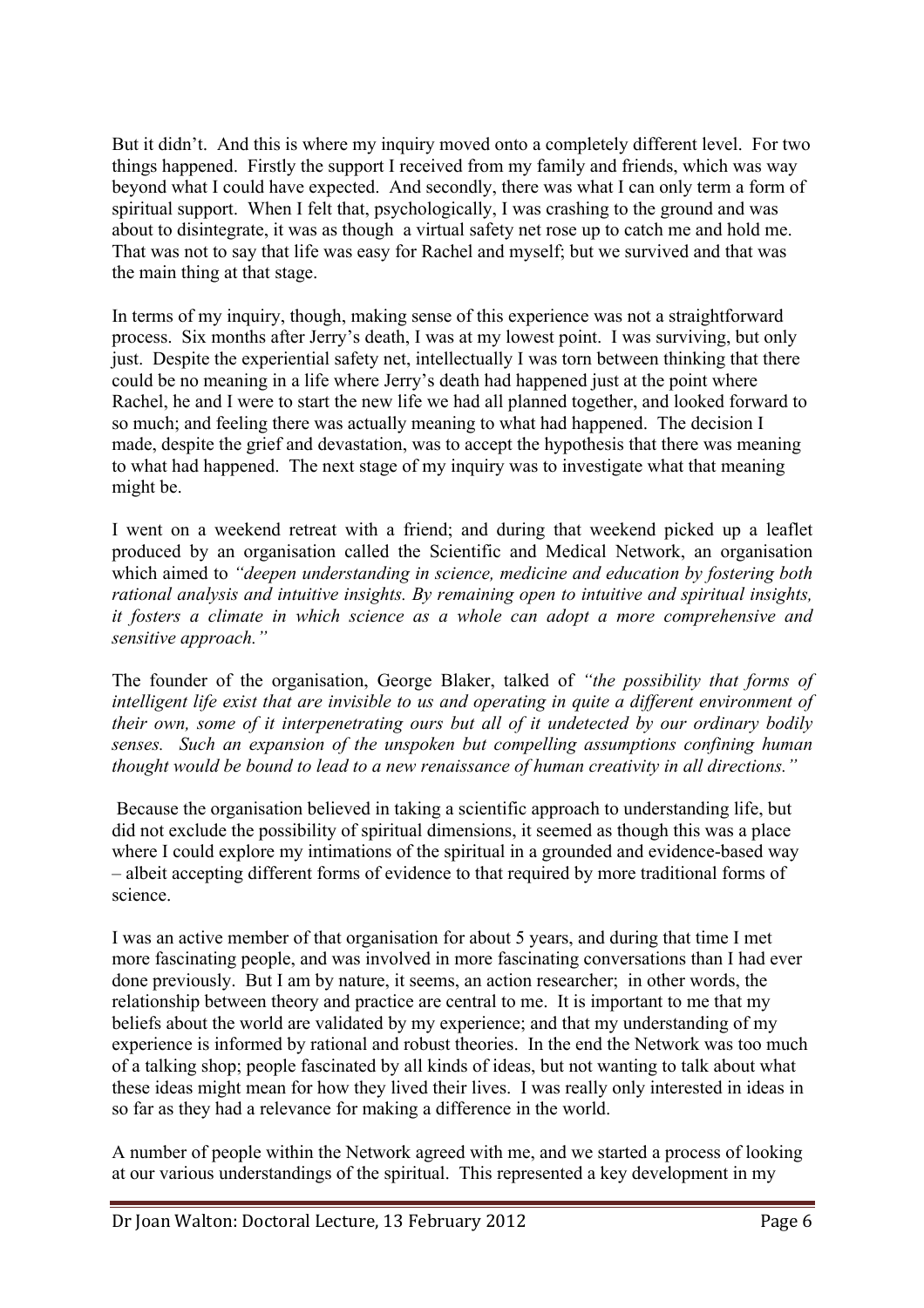But it didn't. And this is where my inquiry moved onto a completely different level. For two things happened. Firstly the support I received from my family and friends, which was way beyond what I could have expected. And secondly, there was what I can only term a form of spiritual support. When I felt that, psychologically, I was crashing to the ground and was about to disintegrate, it was as though a virtual safety net rose up to catch me and hold me. That was not to say that life was easy for Rachel and myself; but we survived and that was the main thing at that stage.

In terms of my inquiry, though, making sense of this experience was not a straightforward process. Six months after Jerry's death, I was at my lowest point. I was surviving, but only just. Despite the experiential safety net, intellectually I was torn between thinking that there could be no meaning in a life where Jerry's death had happened just at the point where Rachel, he and I were to start the new life we had all planned together, and looked forward to so much; and feeling there was actually meaning to what had happened. The decision I made, despite the grief and devastation, was to accept the hypothesis that there was meaning to what had happened. The next stage of my inquiry was to investigate what that meaning might be.

I went on a weekend retreat with a friend; and during that weekend picked up a leaflet produced by an organisation called the Scientific and Medical Network, an organisation which aimed to *"deepen understanding in science, medicine and education by fostering both rational analysis and intuitive insights. By remaining open to intuitive and spiritual insights, it fosters a climate in which science as a whole can adopt a more comprehensive and sensitive approach."*

The founder of the organisation, George Blaker, talked of *"the possibility that forms of intelligent life exist that are invisible to us and operating in quite a different environment of their own, some of it interpenetrating ours but all of it undetected by our ordinary bodily senses. Such an expansion of the unspoken but compelling assumptions confining human thought would be bound to lead to a new renaissance of human creativity in all directions."*

Because the organisation believed in taking a scientific approach to understanding life, but did not exclude the possibility of spiritual dimensions, it seemed as though this was a place where I could explore my intimations of the spiritual in a grounded and evidence-based way – albeit accepting different forms of evidence to that required by more traditional forms of science.

I was an active member of that organisation for about 5 years, and during that time I met more fascinating people, and was involved in more fascinating conversations than I had ever done previously. But I am by nature, it seems, an action researcher; in other words, the relationship between theory and practice are central to me. It is important to me that my beliefs about the world are validated by my experience; and that my understanding of my experience is informed by rational and robust theories. In the end the Network was too much of a talking shop; people fascinated by all kinds of ideas, but not wanting to talk about what these ideas might mean for how they lived their lives. I was really only interested in ideas in so far as they had a relevance for making a difference in the world.

A number of people within the Network agreed with me, and we started a process of looking at our various understandings of the spiritual. This represented a key development in my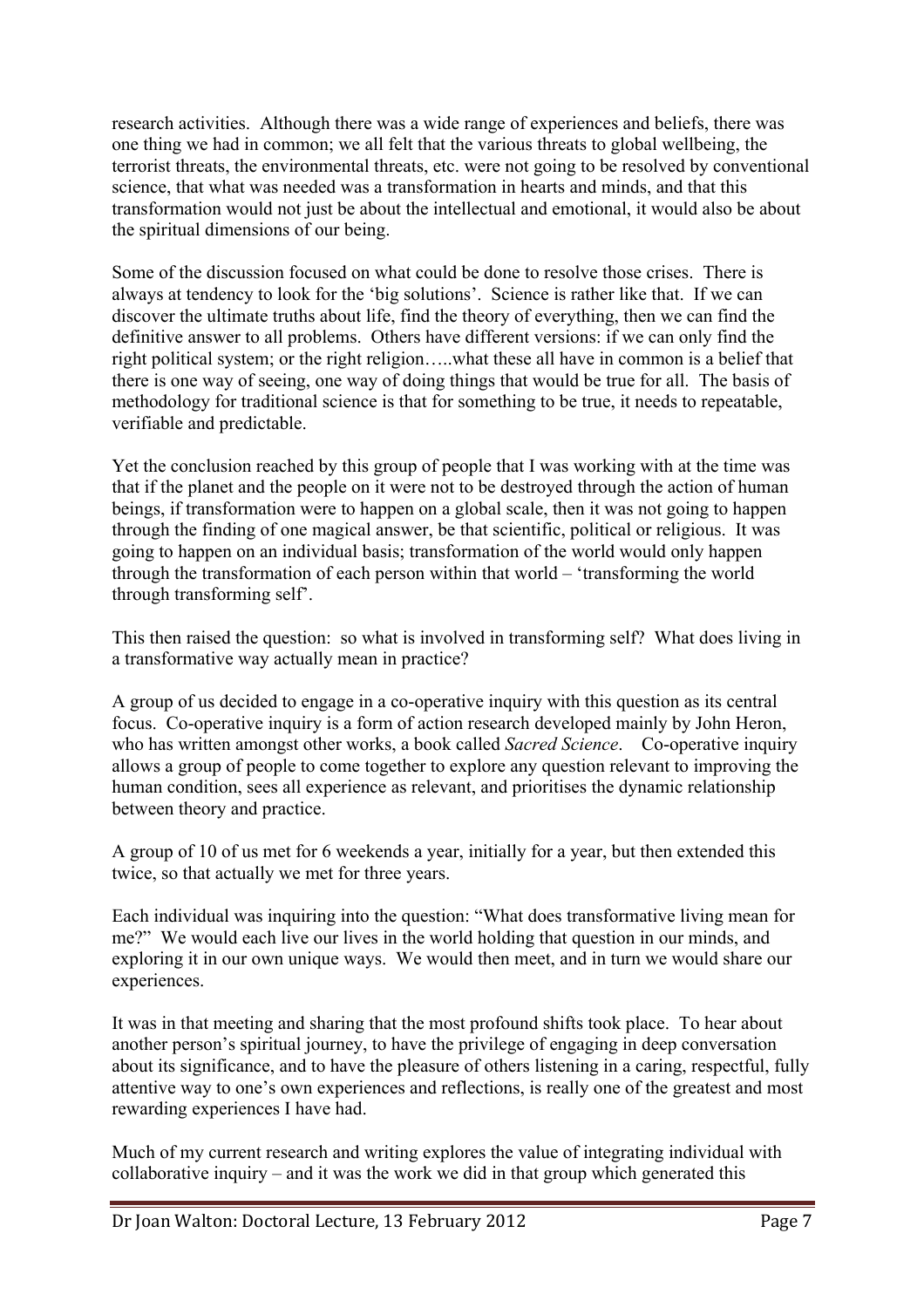research activities. Although there was a wide range of experiences and beliefs, there was one thing we had in common; we all felt that the various threats to global wellbeing, the terrorist threats, the environmental threats, etc. were not going to be resolved by conventional science, that what was needed was a transformation in hearts and minds, and that this transformation would not just be about the intellectual and emotional, it would also be about the spiritual dimensions of our being.

Some of the discussion focused on what could be done to resolve those crises. There is always at tendency to look for the 'big solutions'. Science is rather like that. If we can discover the ultimate truths about life, find the theory of everything, then we can find the definitive answer to all problems. Others have different versions: if we can only find the right political system; or the right religion…..what these all have in common is a belief that there is one way of seeing, one way of doing things that would be true for all. The basis of methodology for traditional science is that for something to be true, it needs to repeatable, verifiable and predictable.

Yet the conclusion reached by this group of people that I was working with at the time was that if the planet and the people on it were not to be destroyed through the action of human beings, if transformation were to happen on a global scale, then it was not going to happen through the finding of one magical answer, be that scientific, political or religious. It was going to happen on an individual basis; transformation of the world would only happen through the transformation of each person within that world – 'transforming the world through transforming self'.

This then raised the question: so what is involved in transforming self? What does living in a transformative way actually mean in practice?

A group of us decided to engage in a co-operative inquiry with this question as its central focus. Co-operative inquiry is a form of action research developed mainly by John Heron, who has written amongst other works, a book called *Sacred Science*. Co-operative inquiry allows a group of people to come together to explore any question relevant to improving the human condition, sees all experience as relevant, and prioritises the dynamic relationship between theory and practice.

A group of 10 of us met for 6 weekends a year, initially for a year, but then extended this twice, so that actually we met for three years.

Each individual was inquiring into the question: "What does transformative living mean for me?" We would each live our lives in the world holding that question in our minds, and exploring it in our own unique ways. We would then meet, and in turn we would share our experiences.

It was in that meeting and sharing that the most profound shifts took place. To hear about another person's spiritual journey, to have the privilege of engaging in deep conversation about its significance, and to have the pleasure of others listening in a caring, respectful, fully attentive way to one's own experiences and reflections, is really one of the greatest and most rewarding experiences I have had.

Much of my current research and writing explores the value of integrating individual with collaborative inquiry – and it was the work we did in that group which generated this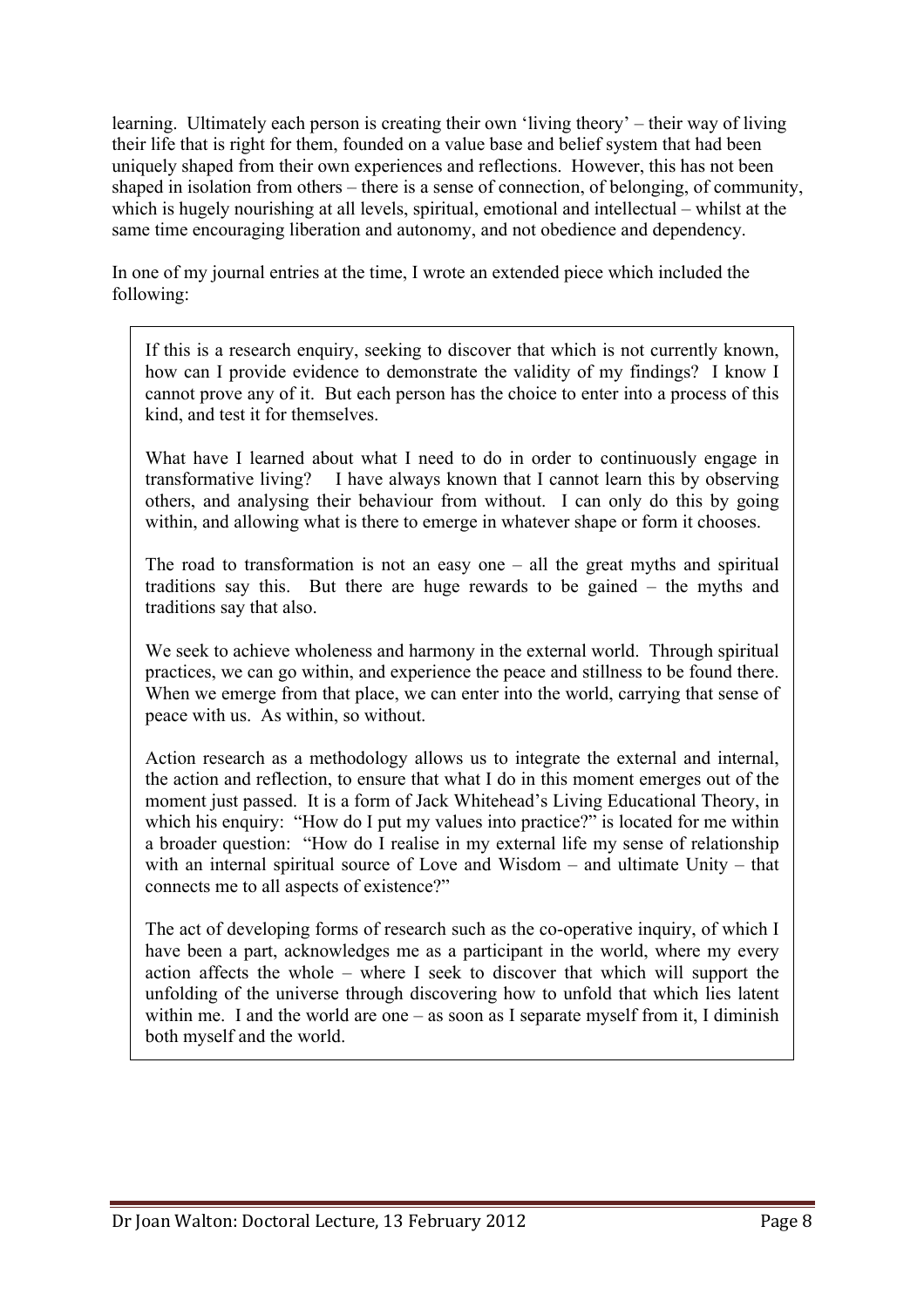learning. Ultimately each person is creating their own 'living theory' – their way of living their life that is right for them, founded on a value base and belief system that had been uniquely shaped from their own experiences and reflections. However, this has not been shaped in isolation from others – there is a sense of connection, of belonging, of community, which is hugely nourishing at all levels, spiritual, emotional and intellectual – whilst at the same time encouraging liberation and autonomy, and not obedience and dependency.

In one of my journal entries at the time, I wrote an extended piece which included the following:

If this is a research enquiry, seeking to discover that which is not currently known, how can I provide evidence to demonstrate the validity of my findings? I know I cannot prove any of it. But each person has the choice to enter into a process of this kind, and test it for themselves.

What have I learned about what I need to do in order to continuously engage in transformative living? I have always known that I cannot learn this by observing others, and analysing their behaviour from without. I can only do this by going within, and allowing what is there to emerge in whatever shape or form it chooses.

The road to transformation is not an easy one  $-$  all the great myths and spiritual traditions say this. But there are huge rewards to be gained – the myths and traditions say that also.

We seek to achieve wholeness and harmony in the external world. Through spiritual practices, we can go within, and experience the peace and stillness to be found there. When we emerge from that place, we can enter into the world, carrying that sense of peace with us. As within, so without.

Action research as a methodology allows us to integrate the external and internal, the action and reflection, to ensure that what I do in this moment emerges out of the moment just passed. It is a form of Jack Whitehead's Living Educational Theory, in which his enquiry: "How do I put my values into practice?" is located for me within a broader question: "How do I realise in my external life my sense of relationship with an internal spiritual source of Love and Wisdom – and ultimate Unity – that connects me to all aspects of existence?"

The act of developing forms of research such as the co-operative inquiry, of which I have been a part, acknowledges me as a participant in the world, where my every action affects the whole – where I seek to discover that which will support the unfolding of the universe through discovering how to unfold that which lies latent within me. I and the world are one – as soon as I separate myself from it, I diminish both myself and the world.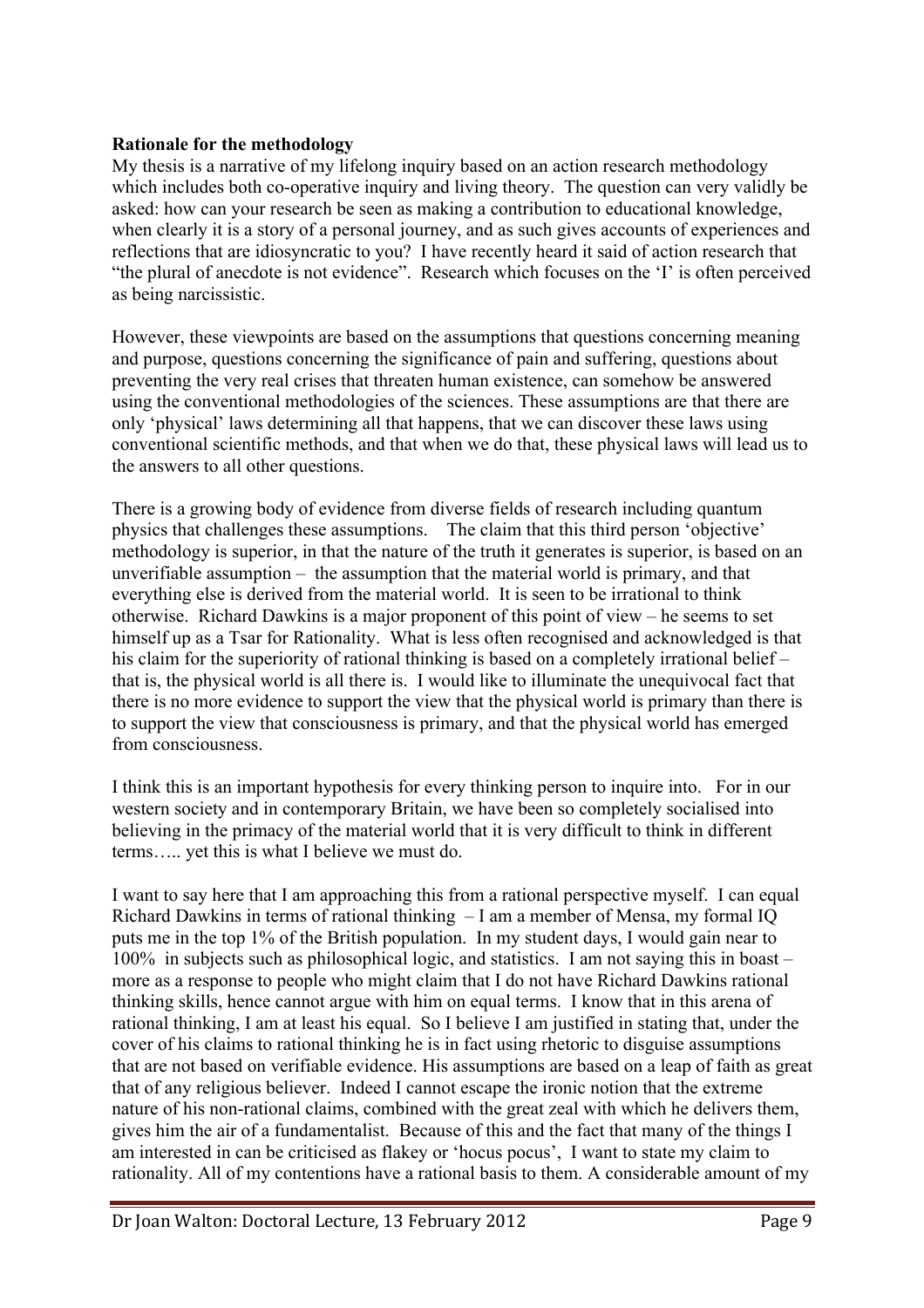# **Rationale for the methodology**

My thesis is a narrative of my lifelong inquiry based on an action research methodology which includes both co-operative inquiry and living theory. The question can very validly be asked: how can your research be seen as making a contribution to educational knowledge, when clearly it is a story of a personal journey, and as such gives accounts of experiences and reflections that are idiosyncratic to you? I have recently heard it said of action research that "the plural of anecdote is not evidence". Research which focuses on the 'I' is often perceived as being narcissistic.

However, these viewpoints are based on the assumptions that questions concerning meaning and purpose, questions concerning the significance of pain and suffering, questions about preventing the very real crises that threaten human existence, can somehow be answered using the conventional methodologies of the sciences. These assumptions are that there are only 'physical' laws determining all that happens, that we can discover these laws using conventional scientific methods, and that when we do that, these physical laws will lead us to the answers to all other questions.

There is a growing body of evidence from diverse fields of research including quantum physics that challenges these assumptions. The claim that this third person 'objective' methodology is superior, in that the nature of the truth it generates is superior, is based on an unverifiable assumption – the assumption that the material world is primary, and that everything else is derived from the material world. It is seen to be irrational to think otherwise. Richard Dawkins is a major proponent of this point of view – he seems to set himself up as a Tsar for Rationality. What is less often recognised and acknowledged is that his claim for the superiority of rational thinking is based on a completely irrational belief – that is, the physical world is all there is. I would like to illuminate the unequivocal fact that there is no more evidence to support the view that the physical world is primary than there is to support the view that consciousness is primary, and that the physical world has emerged from consciousness.

I think this is an important hypothesis for every thinking person to inquire into. For in our western society and in contemporary Britain, we have been so completely socialised into believing in the primacy of the material world that it is very difficult to think in different terms….. yet this is what I believe we must do.

I want to say here that I am approaching this from a rational perspective myself. I can equal Richard Dawkins in terms of rational thinking – I am a member of Mensa, my formal IQ puts me in the top 1% of the British population. In my student days, I would gain near to 100% in subjects such as philosophical logic, and statistics. I am not saying this in boast – more as a response to people who might claim that I do not have Richard Dawkins rational thinking skills, hence cannot argue with him on equal terms. I know that in this arena of rational thinking, I am at least his equal. So I believe I am justified in stating that, under the cover of his claims to rational thinking he is in fact using rhetoric to disguise assumptions that are not based on verifiable evidence. His assumptions are based on a leap of faith as great that of any religious believer. Indeed I cannot escape the ironic notion that the extreme nature of his non-rational claims, combined with the great zeal with which he delivers them, gives him the air of a fundamentalist. Because of this and the fact that many of the things I am interested in can be criticised as flakey or 'hocus pocus', I want to state my claim to rationality. All of my contentions have a rational basis to them. A considerable amount of my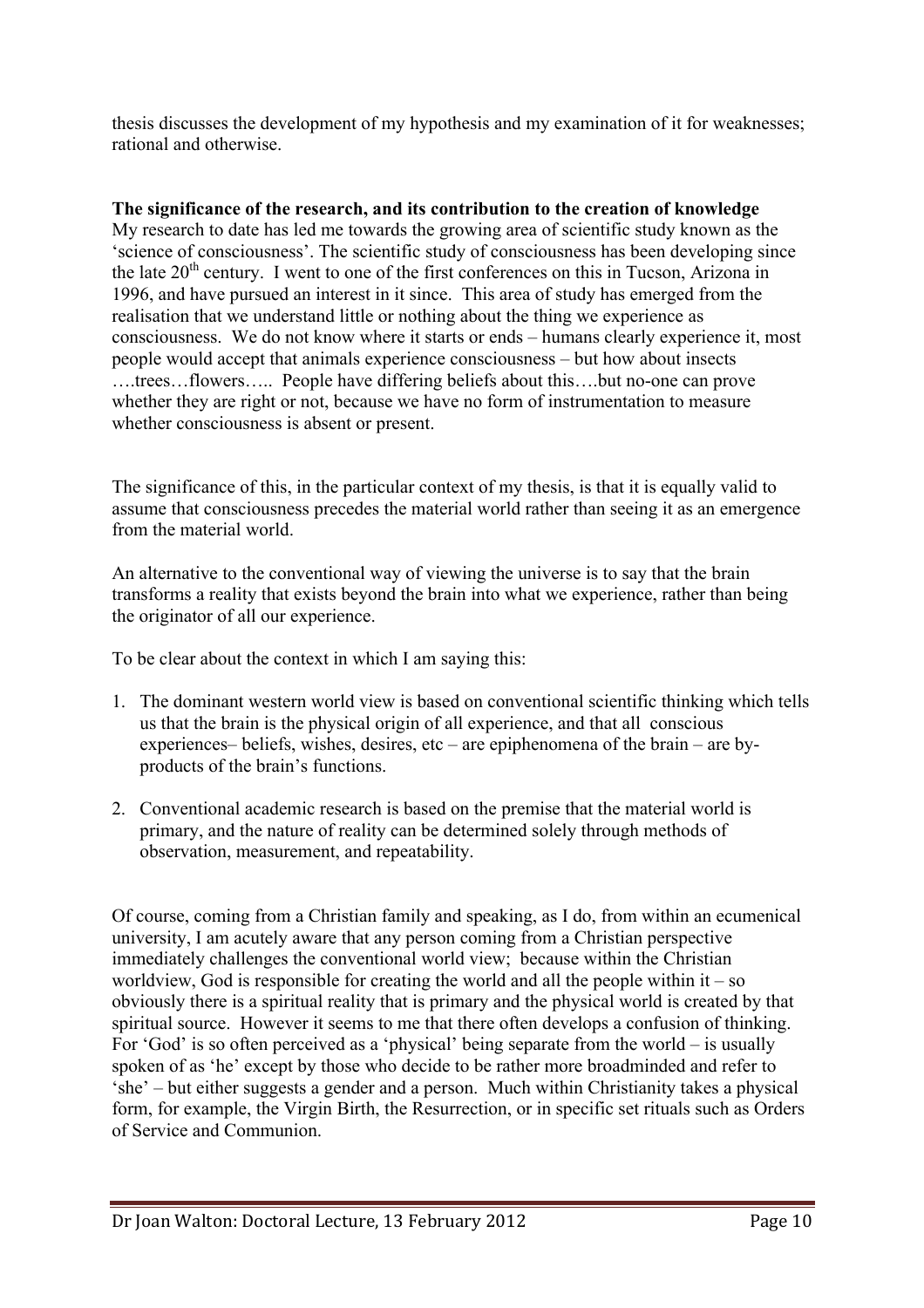thesis discusses the development of my hypothesis and my examination of it for weaknesses; rational and otherwise.

# **The significance of the research, and its contribution to the creation of knowledge**

My research to date has led me towards the growing area of scientific study known as the 'science of consciousness'. The scientific study of consciousness has been developing since the late  $20<sup>th</sup>$  century. I went to one of the first conferences on this in Tucson, Arizona in 1996, and have pursued an interest in it since. This area of study has emerged from the realisation that we understand little or nothing about the thing we experience as consciousness. We do not know where it starts or ends – humans clearly experience it, most people would accept that animals experience consciousness – but how about insects ….trees…flowers….. People have differing beliefs about this….but no-one can prove whether they are right or not, because we have no form of instrumentation to measure whether consciousness is absent or present.

The significance of this, in the particular context of my thesis, is that it is equally valid to assume that consciousness precedes the material world rather than seeing it as an emergence from the material world.

An alternative to the conventional way of viewing the universe is to say that the brain transforms a reality that exists beyond the brain into what we experience, rather than being the originator of all our experience.

To be clear about the context in which I am saying this:

- 1. The dominant western world view is based on conventional scientific thinking which tells us that the brain is the physical origin of all experience, and that all conscious experiences– beliefs, wishes, desires, etc – are epiphenomena of the brain – are byproducts of the brain's functions.
- 2. Conventional academic research is based on the premise that the material world is primary, and the nature of reality can be determined solely through methods of observation, measurement, and repeatability.

Of course, coming from a Christian family and speaking, as I do, from within an ecumenical university, I am acutely aware that any person coming from a Christian perspective immediately challenges the conventional world view; because within the Christian worldview. God is responsible for creating the world and all the people within it – so obviously there is a spiritual reality that is primary and the physical world is created by that spiritual source. However it seems to me that there often develops a confusion of thinking. For 'God' is so often perceived as a 'physical' being separate from the world – is usually spoken of as 'he' except by those who decide to be rather more broadminded and refer to 'she' – but either suggests a gender and a person. Much within Christianity takes a physical form, for example, the Virgin Birth, the Resurrection, or in specific set rituals such as Orders of Service and Communion.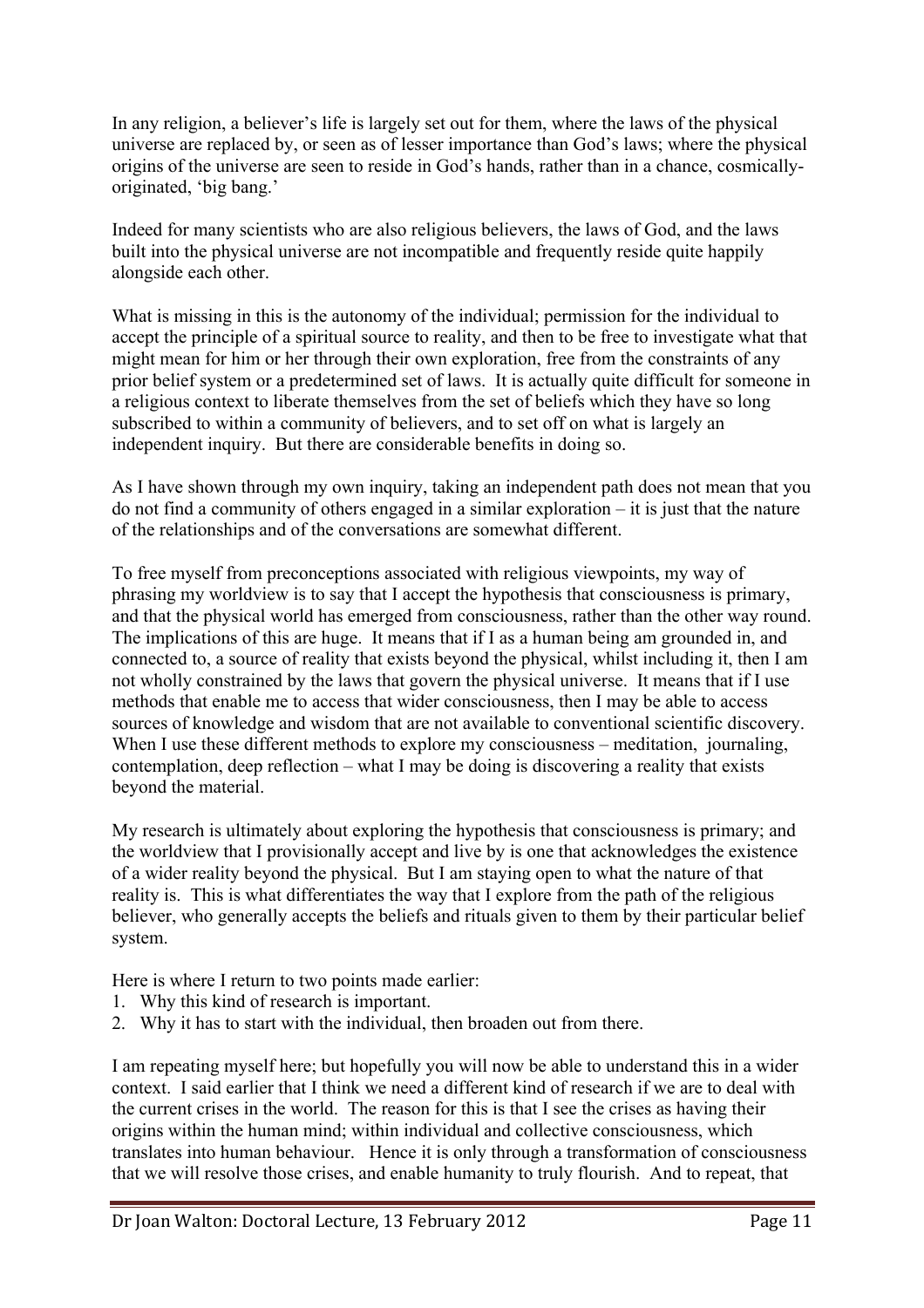In any religion, a believer's life is largely set out for them, where the laws of the physical universe are replaced by, or seen as of lesser importance than God's laws; where the physical origins of the universe are seen to reside in God's hands, rather than in a chance, cosmicallyoriginated, 'big bang.'

Indeed for many scientists who are also religious believers, the laws of God, and the laws built into the physical universe are not incompatible and frequently reside quite happily alongside each other.

What is missing in this is the autonomy of the individual; permission for the individual to accept the principle of a spiritual source to reality, and then to be free to investigate what that might mean for him or her through their own exploration, free from the constraints of any prior belief system or a predetermined set of laws. It is actually quite difficult for someone in a religious context to liberate themselves from the set of beliefs which they have so long subscribed to within a community of believers, and to set off on what is largely an independent inquiry. But there are considerable benefits in doing so.

As I have shown through my own inquiry, taking an independent path does not mean that you do not find a community of others engaged in a similar exploration – it is just that the nature of the relationships and of the conversations are somewhat different.

To free myself from preconceptions associated with religious viewpoints, my way of phrasing my worldview is to say that I accept the hypothesis that consciousness is primary, and that the physical world has emerged from consciousness, rather than the other way round. The implications of this are huge. It means that if I as a human being am grounded in, and connected to, a source of reality that exists beyond the physical, whilst including it, then I am not wholly constrained by the laws that govern the physical universe. It means that if I use methods that enable me to access that wider consciousness, then I may be able to access sources of knowledge and wisdom that are not available to conventional scientific discovery. When I use these different methods to explore my consciousness – meditation, journaling, contemplation, deep reflection – what I may be doing is discovering a reality that exists beyond the material.

My research is ultimately about exploring the hypothesis that consciousness is primary; and the worldview that I provisionally accept and live by is one that acknowledges the existence of a wider reality beyond the physical. But I am staying open to what the nature of that reality is. This is what differentiates the way that I explore from the path of the religious believer, who generally accepts the beliefs and rituals given to them by their particular belief system.

Here is where I return to two points made earlier:

- 1. Why this kind of research is important.
- 2. Why it has to start with the individual, then broaden out from there.

I am repeating myself here; but hopefully you will now be able to understand this in a wider context. I said earlier that I think we need a different kind of research if we are to deal with the current crises in the world. The reason for this is that I see the crises as having their origins within the human mind; within individual and collective consciousness, which translates into human behaviour. Hence it is only through a transformation of consciousness that we will resolve those crises, and enable humanity to truly flourish. And to repeat, that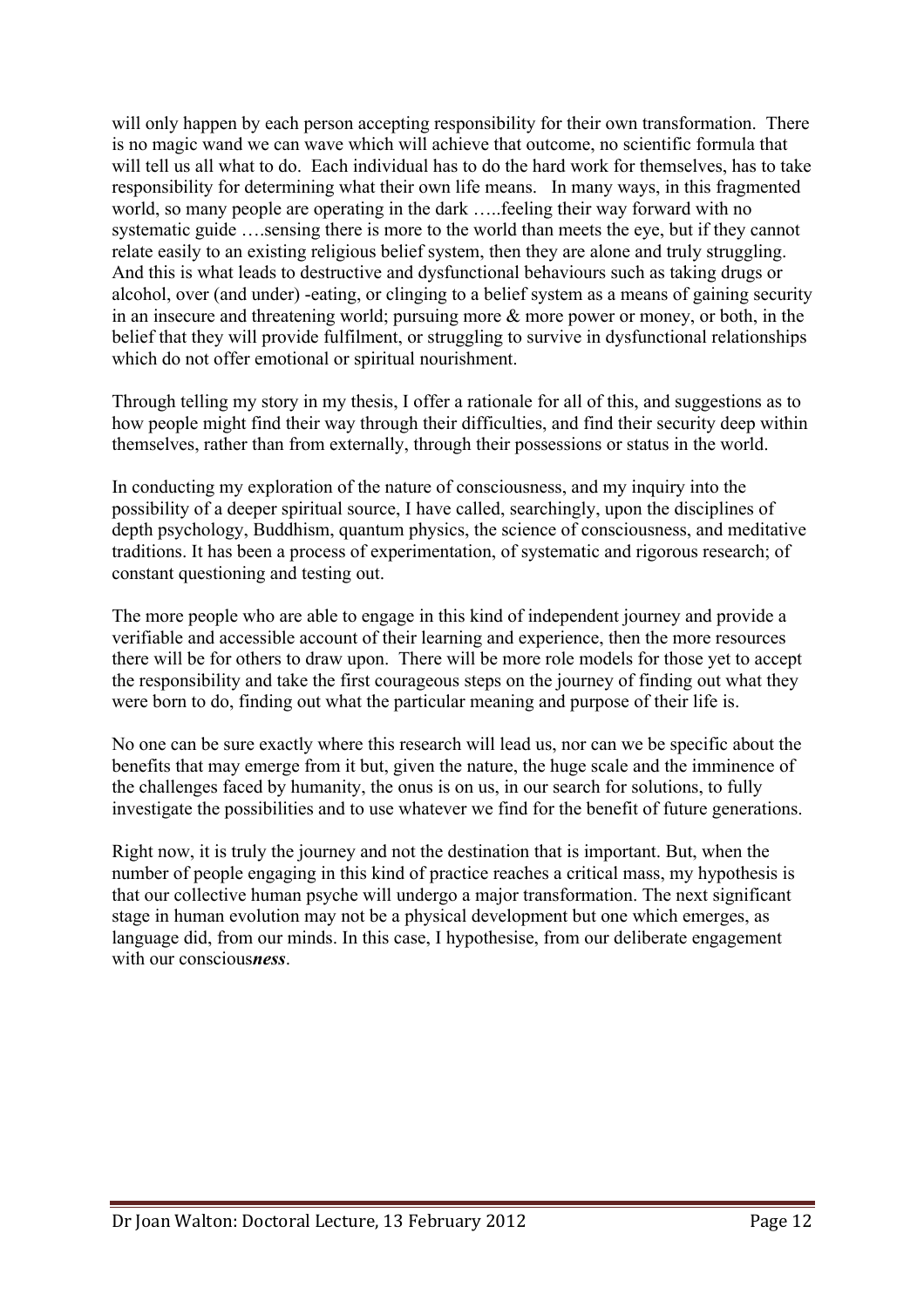will only happen by each person accepting responsibility for their own transformation. There is no magic wand we can wave which will achieve that outcome, no scientific formula that will tell us all what to do. Each individual has to do the hard work for themselves, has to take responsibility for determining what their own life means. In many ways, in this fragmented world, so many people are operating in the dark …..feeling their way forward with no systematic guide ….sensing there is more to the world than meets the eye, but if they cannot relate easily to an existing religious belief system, then they are alone and truly struggling. And this is what leads to destructive and dysfunctional behaviours such as taking drugs or alcohol, over (and under) -eating, or clinging to a belief system as a means of gaining security in an insecure and threatening world; pursuing more & more power or money, or both, in the belief that they will provide fulfilment, or struggling to survive in dysfunctional relationships which do not offer emotional or spiritual nourishment.

Through telling my story in my thesis, I offer a rationale for all of this, and suggestions as to how people might find their way through their difficulties, and find their security deep within themselves, rather than from externally, through their possessions or status in the world.

In conducting my exploration of the nature of consciousness, and my inquiry into the possibility of a deeper spiritual source, I have called, searchingly, upon the disciplines of depth psychology, Buddhism, quantum physics, the science of consciousness, and meditative traditions. It has been a process of experimentation, of systematic and rigorous research; of constant questioning and testing out.

The more people who are able to engage in this kind of independent journey and provide a verifiable and accessible account of their learning and experience, then the more resources there will be for others to draw upon. There will be more role models for those yet to accept the responsibility and take the first courageous steps on the journey of finding out what they were born to do, finding out what the particular meaning and purpose of their life is.

No one can be sure exactly where this research will lead us, nor can we be specific about the benefits that may emerge from it but, given the nature, the huge scale and the imminence of the challenges faced by humanity, the onus is on us, in our search for solutions, to fully investigate the possibilities and to use whatever we find for the benefit of future generations.

Right now, it is truly the journey and not the destination that is important. But, when the number of people engaging in this kind of practice reaches a critical mass, my hypothesis is that our collective human psyche will undergo a major transformation. The next significant stage in human evolution may not be a physical development but one which emerges, as language did, from our minds. In this case, I hypothesise, from our deliberate engagement with our conscious*ness*.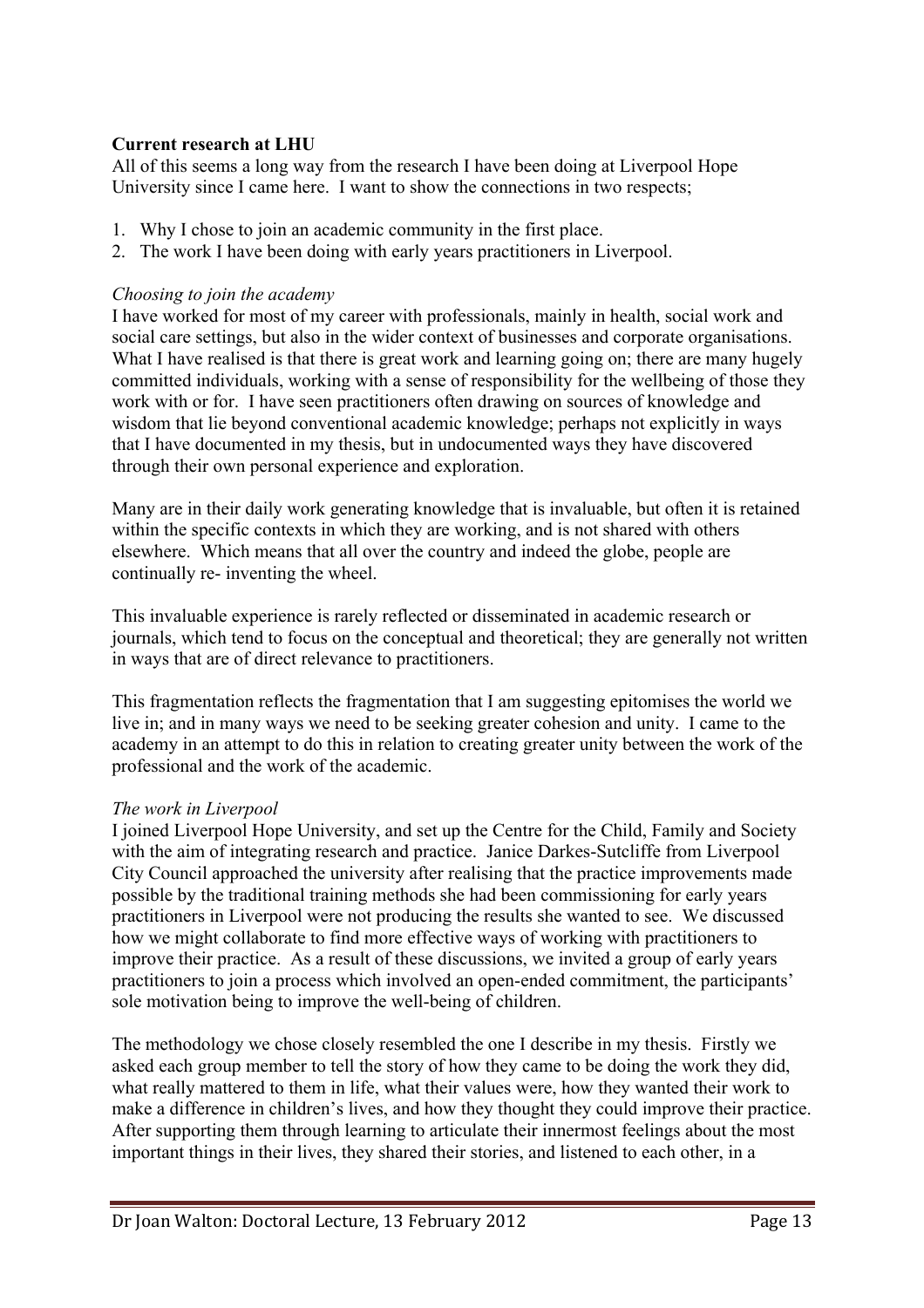# **Current research at LHU**

All of this seems a long way from the research I have been doing at Liverpool Hope University since I came here. I want to show the connections in two respects;

- 1. Why I chose to join an academic community in the first place.
- 2. The work I have been doing with early years practitioners in Liverpool.

### *Choosing to join the academy*

I have worked for most of my career with professionals, mainly in health, social work and social care settings, but also in the wider context of businesses and corporate organisations. What I have realised is that there is great work and learning going on; there are many hugely committed individuals, working with a sense of responsibility for the wellbeing of those they work with or for. I have seen practitioners often drawing on sources of knowledge and wisdom that lie beyond conventional academic knowledge; perhaps not explicitly in ways that I have documented in my thesis, but in undocumented ways they have discovered through their own personal experience and exploration.

Many are in their daily work generating knowledge that is invaluable, but often it is retained within the specific contexts in which they are working, and is not shared with others elsewhere. Which means that all over the country and indeed the globe, people are continually re- inventing the wheel.

This invaluable experience is rarely reflected or disseminated in academic research or journals, which tend to focus on the conceptual and theoretical; they are generally not written in ways that are of direct relevance to practitioners.

This fragmentation reflects the fragmentation that I am suggesting epitomises the world we live in; and in many ways we need to be seeking greater cohesion and unity. I came to the academy in an attempt to do this in relation to creating greater unity between the work of the professional and the work of the academic.

#### *The work in Liverpool*

I joined Liverpool Hope University, and set up the Centre for the Child, Family and Society with the aim of integrating research and practice. Janice Darkes-Sutcliffe from Liverpool City Council approached the university after realising that the practice improvements made possible by the traditional training methods she had been commissioning for early years practitioners in Liverpool were not producing the results she wanted to see. We discussed how we might collaborate to find more effective ways of working with practitioners to improve their practice. As a result of these discussions, we invited a group of early years practitioners to join a process which involved an open-ended commitment, the participants' sole motivation being to improve the well-being of children.

The methodology we chose closely resembled the one I describe in my thesis. Firstly we asked each group member to tell the story of how they came to be doing the work they did, what really mattered to them in life, what their values were, how they wanted their work to make a difference in children's lives, and how they thought they could improve their practice. After supporting them through learning to articulate their innermost feelings about the most important things in their lives, they shared their stories, and listened to each other, in a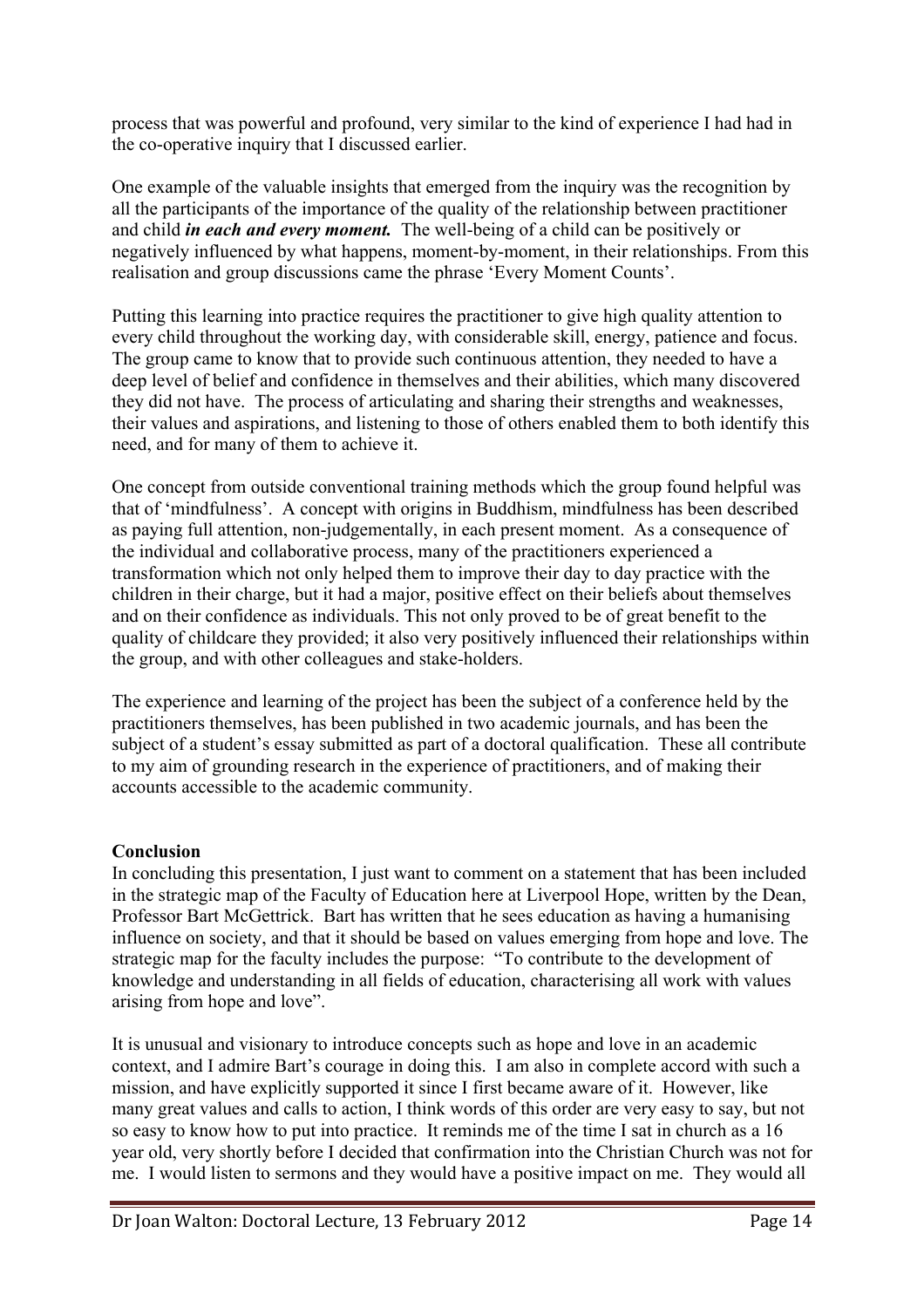process that was powerful and profound, very similar to the kind of experience I had had in the co-operative inquiry that I discussed earlier.

One example of the valuable insights that emerged from the inquiry was the recognition by all the participants of the importance of the quality of the relationship between practitioner and child *in each and every moment.* The well-being of a child can be positively or negatively influenced by what happens, moment-by-moment, in their relationships. From this realisation and group discussions came the phrase 'Every Moment Counts'.

Putting this learning into practice requires the practitioner to give high quality attention to every child throughout the working day, with considerable skill, energy, patience and focus. The group came to know that to provide such continuous attention, they needed to have a deep level of belief and confidence in themselves and their abilities, which many discovered they did not have. The process of articulating and sharing their strengths and weaknesses, their values and aspirations, and listening to those of others enabled them to both identify this need, and for many of them to achieve it.

One concept from outside conventional training methods which the group found helpful was that of 'mindfulness'. A concept with origins in Buddhism, mindfulness has been described as paying full attention, non-judgementally, in each present moment. As a consequence of the individual and collaborative process, many of the practitioners experienced a transformation which not only helped them to improve their day to day practice with the children in their charge, but it had a major, positive effect on their beliefs about themselves and on their confidence as individuals. This not only proved to be of great benefit to the quality of childcare they provided; it also very positively influenced their relationships within the group, and with other colleagues and stake-holders.

The experience and learning of the project has been the subject of a conference held by the practitioners themselves, has been published in two academic journals, and has been the subject of a student's essay submitted as part of a doctoral qualification. These all contribute to my aim of grounding research in the experience of practitioners, and of making their accounts accessible to the academic community.

#### **Conclusion**

In concluding this presentation, I just want to comment on a statement that has been included in the strategic map of the Faculty of Education here at Liverpool Hope, written by the Dean, Professor Bart McGettrick. Bart has written that he sees education as having a humanising influence on society, and that it should be based on values emerging from hope and love. The strategic map for the faculty includes the purpose: "To contribute to the development of knowledge and understanding in all fields of education, characterising all work with values arising from hope and love".

It is unusual and visionary to introduce concepts such as hope and love in an academic context, and I admire Bart's courage in doing this. I am also in complete accord with such a mission, and have explicitly supported it since I first became aware of it. However, like many great values and calls to action, I think words of this order are very easy to say, but not so easy to know how to put into practice. It reminds me of the time I sat in church as a 16 year old, very shortly before I decided that confirmation into the Christian Church was not for me. I would listen to sermons and they would have a positive impact on me. They would all